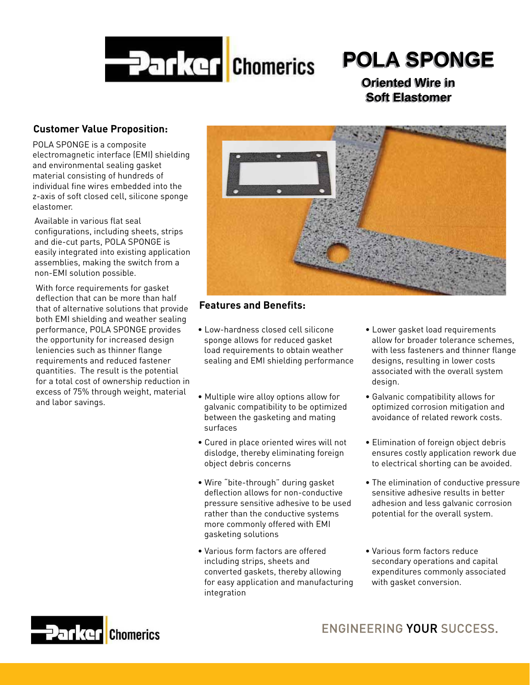

# Ī **POLA SPONGE POLA SPONGE POLA SPONGE POLA SPONGE**

 **Oriented Wire in Oriented Wire in Oriented Wire in Oriented Wire in Soft Elastomer Soft Elastomer Soft Elastomer Soft Elastomer**

## **Customer Value Proposition:**

POLA SPONGE is a composite electromagnetic interface (EMI) shielding and environmental sealing gasket material consisting of hundreds of individual fine wires embedded into the z-axis of soft closed cell, silicone sponge elastomer.

Available in various flat seal configurations, including sheets, strips and die-cut parts, POLA SPONGE is easily integrated into existing application assemblies, making the switch from a non-EMI solution possible.

With force requirements for gasket deflection that can be more than half that of alternative solutions that provide both EMI shielding and weather sealing performance, POLA SPONGE provides the opportunity for increased design leniencies such as thinner flange requirements and reduced fastener quantities. The result is the potential for a total cost of ownership reduction in excess of 75% through weight, material and labor savings.



# **Features and Benefits:**

- Low-hardness closed cell silicone sponge allows for reduced gasket load requirements to obtain weather sealing and EMI shielding performance
- Multiple wire alloy options allow for galvanic compatibility to be optimized between the gasketing and mating surfaces
- Cured in place oriented wires will not dislodge, thereby eliminating foreign object debris concerns
- Wire "bite-through" during gasket deflection allows for non-conductive pressure sensitive adhesive to be used rather than the conductive systems more commonly offered with EMI gasketing solutions
- Various form factors are offered including strips, sheets and converted gaskets, thereby allowing for easy application and manufacturing integration
- Lower gasket load requirements allow for broader tolerance schemes, with less fasteners and thinner flange designs, resulting in lower costs associated with the overall system design.
- Galvanic compatibility allows for optimized corrosion mitigation and avoidance of related rework costs.
- Elimination of foreign object debris ensures costly application rework due to electrical shorting can be avoided.
- The elimination of conductive pressure sensitive adhesive results in better adhesion and less galvanic corrosion potential for the overall system.
- Various form factors reduce secondary operations and capital expenditures commonly associated with gasket conversion.

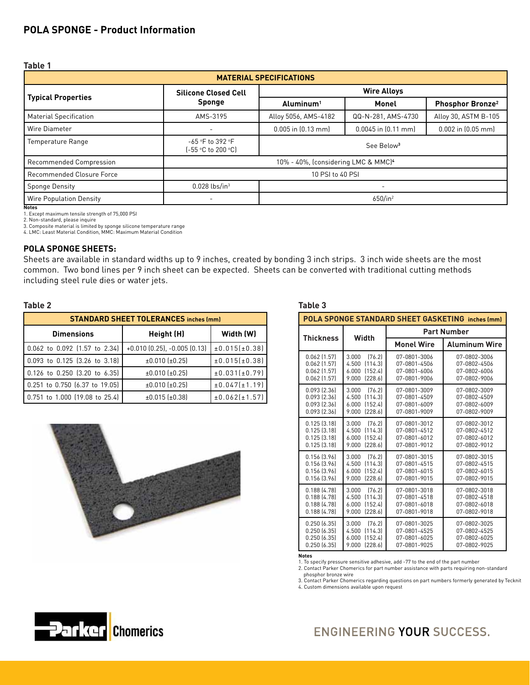## **POLA SPONGE - Product Information**

| $\sim$ |
|--------|
|--------|

| <b>MATERIAL SPECIFICATIONS</b> |                                                 |                                |                        |                              |
|--------------------------------|-------------------------------------------------|--------------------------------|------------------------|------------------------------|
|                                | <b>Silicone Closed Cell</b>                     | <b>Wire Alloys</b>             |                        |                              |
| <b>Typical Properties</b>      | Sponge                                          | Monel<br>Aluminum <sup>1</sup> |                        | Phosphor Bronze <sup>2</sup> |
| <b>Material Specification</b>  | AMS-3195                                        | Alloy 5056, AMS-4182           | QQ-N-281, AMS-4730     | Alloy 30, ASTM B-105         |
| Wire Diameter                  |                                                 | $0.005$ in $[0.13$ mm          | $0.0045$ in $[0.11$ mm | $0.002$ in $[0.05$ mm        |
| Temperature Range              | -65 °F to 392 °F<br>(-55 °C to 200 °C)          | See Below <sup>3</sup>         |                        |                              |
| Recommended Compression        | 10% - 40%, (considering LMC & MMC) <sup>4</sup> |                                |                        |                              |
| Recommended Closure Force      | 10 PSI to 40 PSI                                |                                |                        |                              |
| Sponge Density                 | $0.028$ lbs/in <sup>3</sup>                     |                                | ٠.                     |                              |
| <b>Wire Population Density</b> |                                                 | $650/$ in <sup>2</sup>         |                        |                              |

**Notes** 1. Except maximum tensile strength of 75,000 PSI

2. Non-standard, please inquire

3. Composite material is limited by sponge silicone temperature range

4. LMC: Least Material Condition, MMC: Maximum Material Condition

### **POLA SPONGE SHEETS:**

Sheets are available in standard widths up to 9 inches, created by bonding 3 inch strips. 3 inch wide sheets are the most common. Two bond lines per 9 inch sheet can be expected. Sheets can be converted with traditional cutting methods including steel rule dies or water jets.

### **Table 2**

| <b>STANDARD SHEET TOLERANCES inches (mm)</b> |                                       |               |  |
|----------------------------------------------|---------------------------------------|---------------|--|
| <b>Dimensions</b>                            | Height (H)                            | Width (W)     |  |
| 0.062 to 0.092 (1.57 to 2.34)                | $+0.010$ $(0.25)$ , $-0.005$ $(0.13)$ | ±0.015(±0.38) |  |
| 0.093 to 0.125 (3.26 to 3.18)                | $±0.010$ ( $±0.25$ )                  | ±0.015(±0.38) |  |
| 0.126 to 0.250 (3.20 to 6.35)                | $±0.010$ (±0.25)                      | ±0.031[t0.79] |  |
| 0.251 to 0.750 (6.37 to 19.05)               | $±0.010$ $±0.25$                      | ±0.047[t1.19] |  |
| 0.751 to 1.000 (19.08 to 25.4)               | $±0.015$ $±0.38$                      | ±0.062[t1.57] |  |



| POLA SPONGE STANDARD SHEET GASKETING inches (mm)                           |                                                                             |                                                              |                                                              |  |
|----------------------------------------------------------------------------|-----------------------------------------------------------------------------|--------------------------------------------------------------|--------------------------------------------------------------|--|
| <b>Thickness</b>                                                           | Width                                                                       | <b>Part Number</b>                                           |                                                              |  |
|                                                                            |                                                                             | <b>Monel Wire</b>                                            | <b>Aluminum Wire</b>                                         |  |
| $0.062$ $(1.57)$<br>$0.062$ [1.57]<br>$0.062$ $(1.57)$<br>$0.062$ $(1.57)$ | 3.000<br>[76.2]<br>[114.3]<br>4.500<br>(152.4)<br>6.000<br>9.000<br>[228.6] | 07-0801-3006<br>07-0801-4506<br>07-0801-6006<br>07-0801-9006 | 07-0802-3006<br>07-0802-4506<br>07-0802-6006<br>07-0802-9006 |  |
| $0.093$ $(2.36)$<br>$0.093$ $(2.36)$<br>$0.093$ $(2.36)$<br>0.093 [2.36]   | 3.000<br>[76.2]<br>4.500<br>[114.3]<br>(152.4)<br>6.000<br>9.000<br>[228.6] | 07-0801-3009<br>07-0801-4509<br>07-0801-6009<br>07-0801-9009 | 07-0802-3009<br>07-0802-4509<br>07-0802-6009<br>07-0802-9009 |  |
| $0.125$ $(3.18)$<br>0.125(3.18)<br>0.125(3.18)<br>$0.125$ $(3.18)$         | 3.000<br>[76.2]<br>[114.3]<br>4.500<br>(152.4)<br>6.000<br>[228.6]<br>9.000 | 07-0801-3012<br>07-0801-4512<br>07-0801-6012<br>07-0801-9012 | 07-0802-3012<br>07-0802-4512<br>07-0802-6012<br>07-0802-9012 |  |
| 0.156 [3.96]<br>0.156 [3.96]<br>0.156 [3.96]<br>0.156 [3.96]               | 3.000<br>[76.2]<br>[114.3]<br>4.500<br>(152.4)<br>6.000<br>9.000<br>[228.6] | 07-0801-3015<br>07-0801-4515<br>07-0801-6015<br>07-0801-9015 | 07-0802-3015<br>07-0802-4515<br>07-0802-6015<br>07-0802-9015 |  |
| 0.188(4.78)<br>0.188(4.78)<br>0.188(4.78)<br>0.188(4.78)                   | [76.2]<br>3.000<br>[114.3]<br>4.500<br>(152.4)<br>6.000<br>9.000<br>[228.6] | 07-0801-3018<br>07-0801-4518<br>07-0801-6018<br>07-0801-9018 | 07-0802-3018<br>07-0802-4518<br>07-0802-6018<br>07-0802-9018 |  |
| 0.250(6.35)<br>0.250(6.35)<br>0.250(6.35)<br>0.250(6.35)                   | 3.000<br>[76.2]<br>[114.3]<br>4.500<br>(152.4)<br>6.000<br>9.000<br>[228.6] | 07-0801-3025<br>07-0801-4525<br>07-0801-6025<br>07-0801-9025 | 07-0802-3025<br>07-0802-4525<br>07-0802-6025<br>07-0802-9025 |  |

**Notes**

1. To specify pressure sensitive adhesive, add -77 to the end of the part number

2. Contact Parker Chomerics for part number assistance with parts requiring non-standard

 phosphor bronze wire 3. Contact Parker Chomerics regarding questions on part numbers formerly generated by Tecknit 4. Custom dimensions available upon request



# **ENGINEERING YOUR SUCCESS.**

### **Table 3**